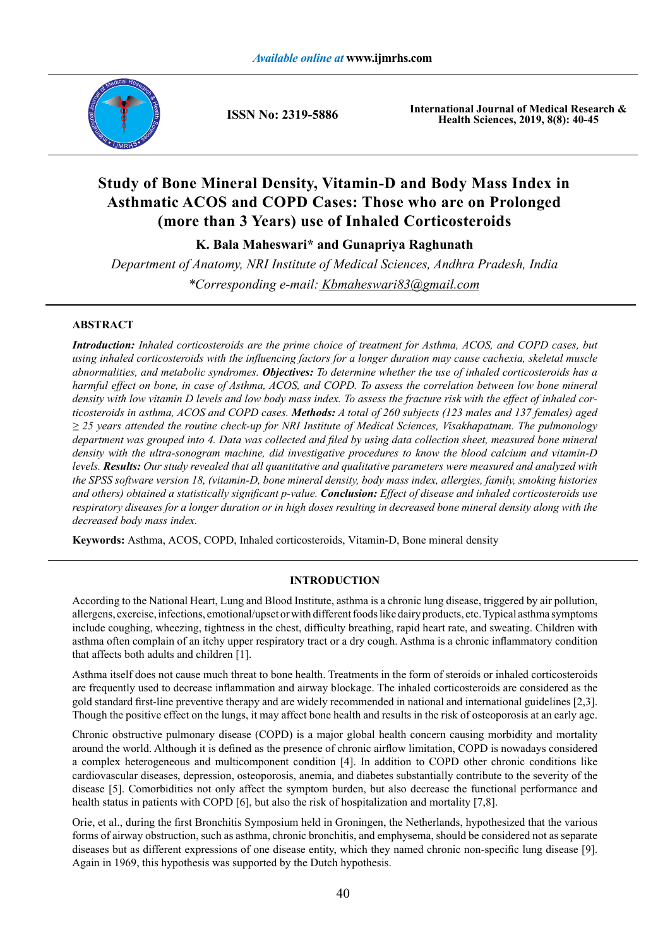

**ISSN No: 2319-5886**

**International Journal of Medical Research & Health Sciences, 2019, 8(8): 40-45**

# **Study of Bone Mineral Density, Vitamin-D and Body Mass Index in Asthmatic ACOS and COPD Cases: Those who are on Prolonged (more than 3 Years) use of Inhaled Corticosteroids**

**K. Bala Maheswari\* and Gunapriya Raghunath**

*Department of Anatomy, NRI Institute of Medical Sciences, Andhra Pradesh, India \*Corresponding e-mail: Kbmaheswari83@gmail.com*

# **ABSTRACT**

*Introduction: Inhaled corticosteroids are the prime choice of treatment for Asthma, ACOS, and COPD cases, but using inhaled corticosteroids with the influencing factors for a longer duration may cause cachexia, skeletal muscle abnormalities, and metabolic syndromes. Objectives: To determine whether the use of inhaled corticosteroids has a harmful effect on bone, in case of Asthma, ACOS, and COPD. To assess the correlation between low bone mineral density with low vitamin D levels and low body mass index. To assess the fracture risk with the effect of inhaled corticosteroids in asthma, ACOS and COPD cases. Methods: A total of 260 subjects (123 males and 137 females) aged ≥ 25 years attended the routine check-up for NRI Institute of Medical Sciences, Visakhapatnam. The pulmonology department was grouped into 4. Data was collected and filed by using data collection sheet, measured bone mineral density with the ultra-sonogram machine, did investigative procedures to know the blood calcium and vitamin-D levels. Results: Our study revealed that all quantitative and qualitative parameters were measured and analyzed with the SPSS software version 18, (vitamin-D, bone mineral density, body mass index, allergies, family, smoking histories and others) obtained a statistically significant p-value. Conclusion: Effect of disease and inhaled corticosteroids use respiratory diseases for a longer duration or in high doses resulting in decreased bone mineral density along with the decreased body mass index.*

**Keywords:** Asthma, ACOS, COPD, Inhaled corticosteroids, Vitamin-D, Bone mineral density

# **INTRODUCTION**

According to the National Heart, Lung and Blood Institute, asthma is a chronic lung disease, triggered by air pollution, allergens, exercise, infections, emotional/upset or with different foods like dairy products, etc. Typical asthma symptoms include coughing, wheezing, tightness in the chest, difficulty breathing, rapid heart rate, and sweating. Children with asthma often complain of an itchy upper respiratory tract or a dry cough. Asthma is a chronic inflammatory condition that affects both adults and children [1].

Asthma itself does not cause much threat to bone health. Treatments in the form of steroids or inhaled corticosteroids are frequently used to decrease inflammation and airway blockage. The inhaled corticosteroids are considered as the gold standard first-line preventive therapy and are widely recommended in national and international guidelines [2,3]. Though the positive effect on the lungs, it may affect bone health and results in the risk of osteoporosis at an early age.

Chronic obstructive pulmonary disease (COPD) is a major global health concern causing morbidity and mortality around the world. Although it is defined as the presence of chronic airflow limitation, COPD is nowadays considered a complex heterogeneous and multicomponent condition [4]. In addition to COPD other chronic conditions like cardiovascular diseases, depression, osteoporosis, anemia, and diabetes substantially contribute to the severity of the disease [5]. Comorbidities not only affect the symptom burden, but also decrease the functional performance and health status in patients with COPD [6], but also the risk of hospitalization and mortality [7,8].

Orie, et al., during the first Bronchitis Symposium held in Groningen, the Netherlands, hypothesized that the various forms of airway obstruction, such as asthma, chronic bronchitis, and emphysema, should be considered not as separate diseases but as different expressions of one disease entity, which they named chronic non-specific lung disease [9]. Again in 1969, this hypothesis was supported by the Dutch hypothesis.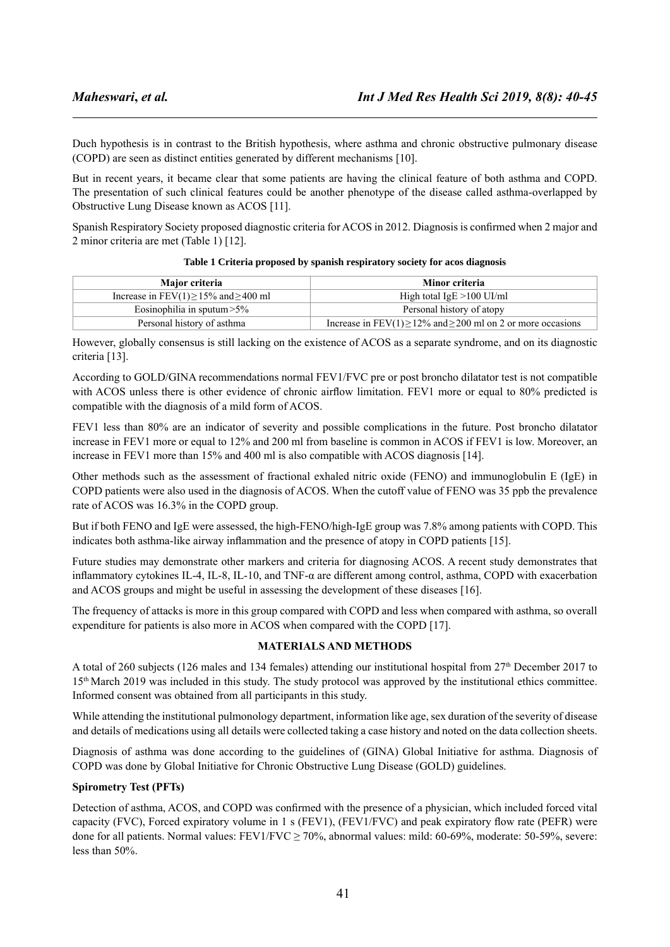Duch hypothesis is in contrast to the British hypothesis, where asthma and chronic obstructive pulmonary disease (COPD) are seen as distinct entities generated by different mechanisms [10].

But in recent years, it became clear that some patients are having the clinical feature of both asthma and COPD. The presentation of such clinical features could be another phenotype of the disease called asthma-overlapped by Obstructive Lung Disease known as ACOS [11].

Spanish Respiratory Society proposed diagnostic criteria for ACOS in 2012. Diagnosis is confirmed when 2 major and 2 minor criteria are met (Table 1) [12].

| Major criteria                                  | Minor criteria                                                         |
|-------------------------------------------------|------------------------------------------------------------------------|
| Increase in FEV $(1) \ge 15\%$ and $\ge 400$ ml | High total $IgE > 100$ UI/ml                                           |
| Eosinophilia in sputum $>5\%$                   | Personal history of atopy                                              |
| Personal history of asthma                      | Increase in FEV(1) $\geq$ 12% and $\geq$ 200 ml on 2 or more occasions |

#### **Table 1 Criteria proposed by spanish respiratory society for acos diagnosis**

However, globally consensus is still lacking on the existence of ACOS as a separate syndrome, and on its diagnostic criteria [13].

According to GOLD/GINA recommendations normal FEV1/FVC pre or post broncho dilatator test is not compatible with ACOS unless there is other evidence of chronic airflow limitation. FEV1 more or equal to 80% predicted is compatible with the diagnosis of a mild form of ACOS.

FEV1 less than 80% are an indicator of severity and possible complications in the future. Post broncho dilatator increase in FEV1 more or equal to 12% and 200 ml from baseline is common in ACOS if FEV1 is low. Moreover, an increase in FEV1 more than 15% and 400 ml is also compatible with ACOS diagnosis [14].

Other methods such as the assessment of fractional exhaled nitric oxide (FENO) and immunoglobulin E (IgE) in COPD patients were also used in the diagnosis of ACOS. When the cutoff value of FENO was 35 ppb the prevalence rate of ACOS was 16.3% in the COPD group.

But if both FENO and IgE were assessed, the high-FENO/high-IgE group was 7.8% among patients with COPD. This indicates both asthma-like airway inflammation and the presence of atopy in COPD patients [15].

Future studies may demonstrate other markers and criteria for diagnosing ACOS. A recent study demonstrates that inflammatory cytokines IL-4, IL-8, IL-10, and TNF-α are different among control, asthma, COPD with exacerbation and ACOS groups and might be useful in assessing the development of these diseases [16].

The frequency of attacks is more in this group compared with COPD and less when compared with asthma, so overall expenditure for patients is also more in ACOS when compared with the COPD [17].

#### **MATERIALS AND METHODS**

A total of 260 subjects (126 males and 134 females) attending our institutional hospital from 27<sup>th</sup> December 2017 to 15th March 2019 was included in this study. The study protocol was approved by the institutional ethics committee. Informed consent was obtained from all participants in this study.

While attending the institutional pulmonology department, information like age, sex duration of the severity of disease and details of medications using all details were collected taking a case history and noted on the data collection sheets.

Diagnosis of asthma was done according to the guidelines of (GINA) Global Initiative for asthma. Diagnosis of COPD was done by Global Initiative for Chronic Obstructive Lung Disease (GOLD) guidelines.

#### **Spirometry Test (PFTs)**

Detection of asthma, ACOS, and COPD was confirmed with the presence of a physician, which included forced vital capacity (FVC), Forced expiratory volume in 1 s (FEV1), (FEV1/FVC) and peak expiratory flow rate (PEFR) were done for all patients. Normal values: FEV1/FVC ≥ 70%, abnormal values: mild: 60-69%, moderate: 50-59%, severe: less than 50%.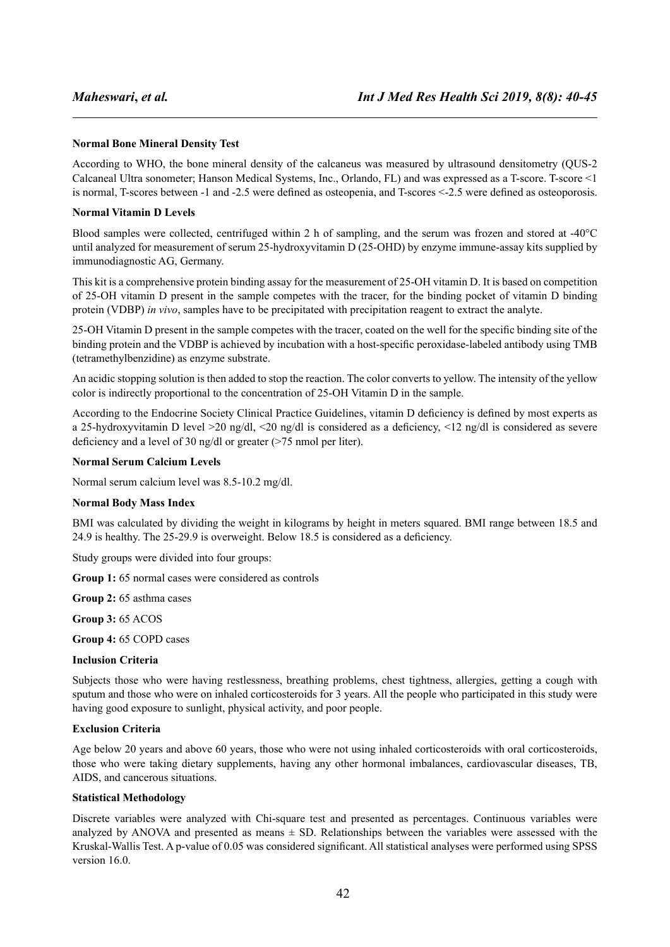#### **Normal Bone Mineral Density Test**

According to WHO, the bone mineral density of the calcaneus was measured by ultrasound densitometry (QUS-2 Calcaneal Ultra sonometer; Hanson Medical Systems, Inc., Orlando, FL) and was expressed as a T-score. T-score <1 is normal, T-scores between -1 and -2.5 were defined as osteopenia, and T-scores <-2.5 were defined as osteoporosis.

#### **Normal Vitamin D Levels**

Blood samples were collected, centrifuged within 2 h of sampling, and the serum was frozen and stored at -40°C until analyzed for measurement of serum 25-hydroxyvitamin D (25-OHD) by enzyme immune-assay kits supplied by immunodiagnostic AG, Germany.

This kit is a comprehensive protein binding assay for the measurement of 25-OH vitamin D. It is based on competition of 25-OH vitamin D present in the sample competes with the tracer, for the binding pocket of vitamin D binding protein (VDBP) *in vivo*, samples have to be precipitated with precipitation reagent to extract the analyte.

25-OH Vitamin D present in the sample competes with the tracer, coated on the well for the specific binding site of the binding protein and the VDBP is achieved by incubation with a host-specific peroxidase-labeled antibody using TMB (tetramethylbenzidine) as enzyme substrate.

An acidic stopping solution is then added to stop the reaction. The color converts to yellow. The intensity of the yellow color is indirectly proportional to the concentration of 25-OH Vitamin D in the sample.

According to the Endocrine Society Clinical Practice Guidelines, vitamin D deficiency is defined by most experts as a 25-hydroxyvitamin D level >20 ng/dl, <20 ng/dl is considered as a deficiency, <12 ng/dl is considered as severe deficiency and a level of 30 ng/dl or greater (>75 nmol per liter).

### **Normal Serum Calcium Levels**

Normal serum calcium level was 8.5-10.2 mg/dl.

#### **Normal Body Mass Index**

BMI was calculated by dividing the weight in kilograms by height in meters squared. BMI range between 18.5 and 24.9 is healthy. The 25-29.9 is overweight. Below 18.5 is considered as a deficiency.

Study groups were divided into four groups:

**Group 1:** 65 normal cases were considered as controls

**Group 2:** 65 asthma cases

**Group 3:** 65 ACOS

**Group 4:** 65 COPD cases

#### **Inclusion Criteria**

Subjects those who were having restlessness, breathing problems, chest tightness, allergies, getting a cough with sputum and those who were on inhaled corticosteroids for 3 years. All the people who participated in this study were having good exposure to sunlight, physical activity, and poor people.

#### **Exclusion Criteria**

Age below 20 years and above 60 years, those who were not using inhaled corticosteroids with oral corticosteroids, those who were taking dietary supplements, having any other hormonal imbalances, cardiovascular diseases, TB, AIDS, and cancerous situations.

#### **Statistical Methodology**

Discrete variables were analyzed with Chi-square test and presented as percentages. Continuous variables were analyzed by ANOVA and presented as means  $\pm$  SD. Relationships between the variables were assessed with the Kruskal-Wallis Test. A p-value of 0.05 was considered significant. All statistical analyses were performed using SPSS version 16.0.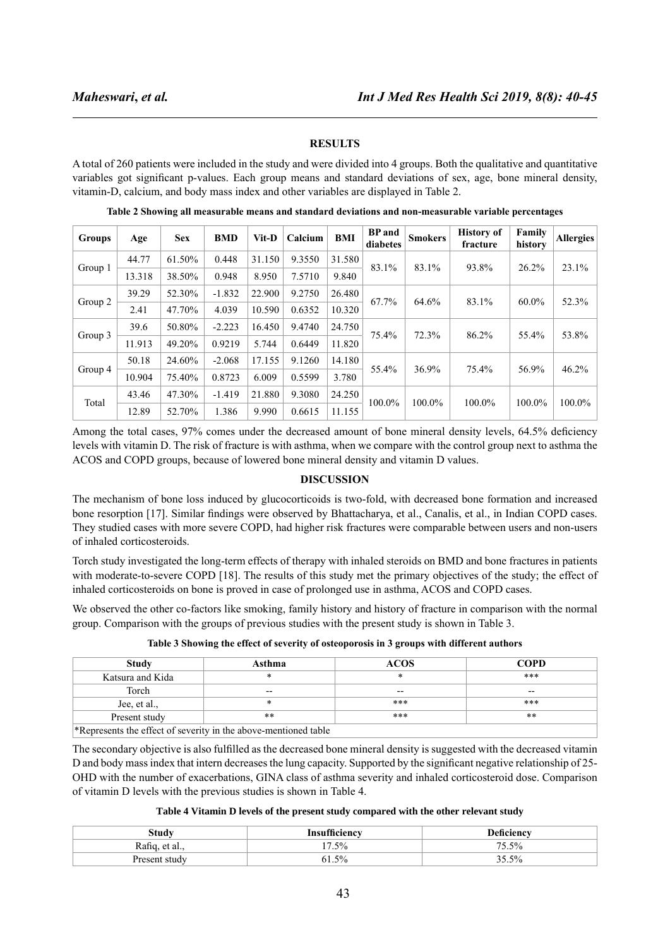## **RESULTS**

A total of 260 patients were included in the study and were divided into 4 groups. Both the qualitative and quantitative variables got significant p-values. Each group means and standard deviations of sex, age, bone mineral density, vitamin-D, calcium, and body mass index and other variables are displayed in Table 2.

| <b>Groups</b>     | Age    | <b>Sex</b> | <b>BMD</b> | Vit-D            | Calcium | <b>BMI</b> | <b>BP</b> and<br>diabetes | <b>Smokers</b> | <b>History of</b><br>fracture | Family<br>history | <b>Allergies</b> |        |
|-------------------|--------|------------|------------|------------------|---------|------------|---------------------------|----------------|-------------------------------|-------------------|------------------|--------|
|                   | 44.77  | 61.50%     | 0.448      | 31.150           | 9.3550  | 31.580     | 83.1%                     | 83.1%          | 93.8%                         | 26.2%             | 23.1%            |        |
| Group 1<br>13.318 |        | 38.50%     | 0.948      | 8.950            | 7.5710  | 9.840      |                           |                |                               |                   |                  |        |
|                   | 39.29  | 52.30%     | $-1.832$   | 22.900           | 9.2750  | 26.480     |                           |                |                               |                   |                  |        |
| Group 2           | 2.41   | 47.70%     | 4.039      | 10.590           | 0.6352  | 10.320     | 67.7%                     | 64.6%          | 83.1%                         | $60.0\%$          | 52.3%            |        |
|                   | 39.6   | 50.80%     | $-2.223$   | 16.450           | 9.4740  | 24.750     |                           | 72.3%          | 86.2%                         | 55.4%             | 53.8%            |        |
| Group 3           | 11.913 | 49.20%     | 0.9219     | 5.744            | 0.6449  | 11.820     | 75.4%                     |                |                               |                   |                  |        |
|                   | 50.18  | 24.60%     | $-2.068$   | 17.155           | 9.1260  | 14.180     |                           |                | 75.4%                         |                   |                  |        |
| Group 4           | 10.904 | 75.40%     | 0.8723     | 6.009            | 0.5599  | 3.780      | 55.4%                     | 36.9%          |                               | 56.9%             | 46.2%            |        |
|                   | 43.46  | 47.30%     | $-1.419$   | 21.880<br>9.3080 | 24.250  |            |                           |                |                               |                   |                  |        |
| Total             | 12.89  | 52.70%     | 1.386      | 9.990            | 0.6615  | 11.155     | 100.0%                    |                | 100.0%                        | 100.0%            | 100.0%           | 100.0% |

**Table 2 Showing all measurable means and standard deviations and non-measurable variable percentages**

Among the total cases, 97% comes under the decreased amount of bone mineral density levels, 64.5% deficiency levels with vitamin D. The risk of fracture is with asthma, when we compare with the control group next to asthma the ACOS and COPD groups, because of lowered bone mineral density and vitamin D values.

#### **DISCUSSION**

The mechanism of bone loss induced by glucocorticoids is two-fold, with decreased bone formation and increased bone resorption [17]. Similar findings were observed by Bhattacharya, et al., Canalis, et al., in Indian COPD cases. They studied cases with more severe COPD, had higher risk fractures were comparable between users and non-users of inhaled corticosteroids.

Torch study investigated the long-term effects of therapy with inhaled steroids on BMD and bone fractures in patients with moderate-to-severe COPD [18]. The results of this study met the primary objectives of the study; the effect of inhaled corticosteroids on bone is proved in case of prolonged use in asthma, ACOS and COPD cases.

We observed the other co-factors like smoking, family history and history of fracture in comparison with the normal group. Comparison with the groups of previous studies with the present study is shown in Table 3.

|  |  | Table 3 Showing the effect of severity of osteoporosis in 3 groups with different authors |  |  |
|--|--|-------------------------------------------------------------------------------------------|--|--|
|  |  |                                                                                           |  |  |

| <b>Study</b>                                                       | Asthma | <b>ACOS</b> | <b>COPD</b> |  |  |
|--------------------------------------------------------------------|--------|-------------|-------------|--|--|
| Katsura and Kida                                                   | $\ast$ | $\ast$      | $***$       |  |  |
| Torch                                                              | $- -$  | $- -$       | $- -$       |  |  |
| Jee, et al.,                                                       | ∗      | $***$       | $***$       |  |  |
| Present study                                                      | **     | ***         | $**$        |  |  |
| $*$ Represents the effect of severity in the above-mentioned table |        |             |             |  |  |

\*Represents the effect of severity in the above-mentioned table

The secondary objective is also fulfilled as the decreased bone mineral density is suggested with the decreased vitamin D and body mass index that intern decreases the lung capacity. Supported by the significant negative relationship of 25- OHD with the number of exacerbations, GINA class of asthma severity and inhaled corticosteroid dose. Comparison of vitamin D levels with the previous studies is shown in Table 4.

| Table 4 Vitamin D levels of the present study compared with the other relevant study |  |  |
|--------------------------------------------------------------------------------------|--|--|
|--------------------------------------------------------------------------------------|--|--|

| <b>Study</b>   | Insufficiencv | <b>Deficiency</b> |
|----------------|---------------|-------------------|
| Rafiq, et al., | 7.5%          | 75.5%             |
| Present study  | $5\%$<br>ы    | 35.5%             |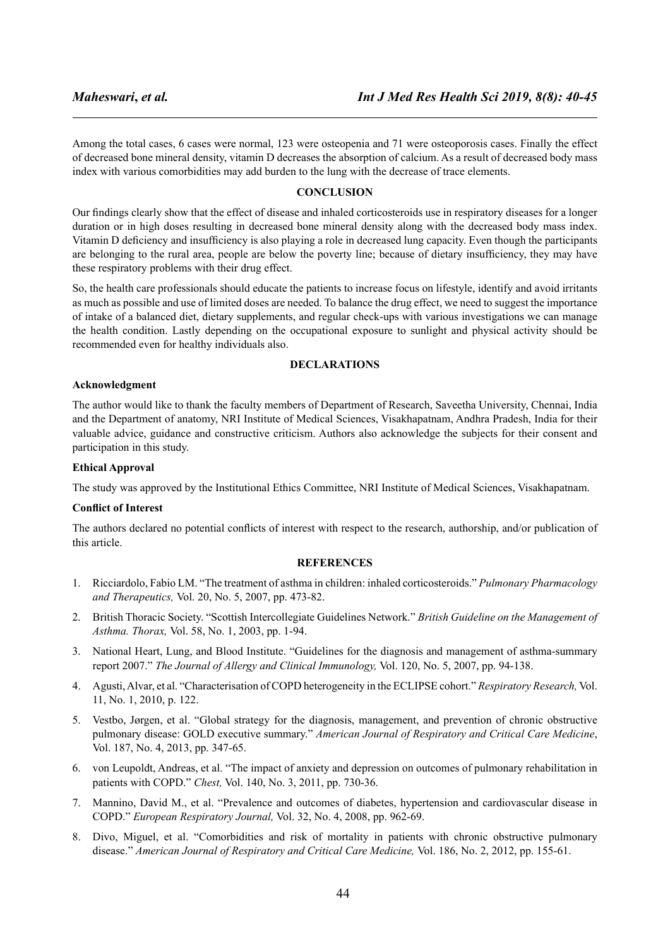Among the total cases, 6 cases were normal, 123 were osteopenia and 71 were osteoporosis cases. Finally the effect of decreased bone mineral density, vitamin D decreases the absorption of calcium. As a result of decreased body mass index with various comorbidities may add burden to the lung with the decrease of trace elements.

#### **CONCLUSION**

Our findings clearly show that the effect of disease and inhaled corticosteroids use in respiratory diseases for a longer duration or in high doses resulting in decreased bone mineral density along with the decreased body mass index. Vitamin D deficiency and insufficiency is also playing a role in decreased lung capacity. Even though the participants are belonging to the rural area, people are below the poverty line; because of dietary insufficiency, they may have these respiratory problems with their drug effect.

So, the health care professionals should educate the patients to increase focus on lifestyle, identify and avoid irritants as much as possible and use of limited doses are needed. To balance the drug effect, we need to suggest the importance of intake of a balanced diet, dietary supplements, and regular check-ups with various investigations we can manage the health condition. Lastly depending on the occupational exposure to sunlight and physical activity should be recommended even for healthy individuals also.

#### **DECLARATIONS**

#### **Acknowledgment**

The author would like to thank the faculty members of Department of Research, Saveetha University, Chennai, India and the Department of anatomy, NRI Institute of Medical Sciences, Visakhapatnam, Andhra Pradesh, India for their valuable advice, guidance and constructive criticism. Authors also acknowledge the subjects for their consent and participation in this study.

#### **Ethical Approval**

The study was approved by the Institutional Ethics Committee, NRI Institute of Medical Sciences, Visakhapatnam.

#### **Conflict of Interest**

The authors declared no potential conflicts of interest with respect to the research, authorship, and/or publication of this article.

#### **REFERENCES**

- 1. Ricciardolo, Fabio LM. "The treatment of asthma in children: inhaled corticosteroids." *Pulmonary Pharmacology and Therapeutics,* Vol. 20, No. 5, 2007, pp. 473-82.
- 2. British Thoracic Society. "Scottish Intercollegiate Guidelines Network." *British Guideline on the Management of Asthma. Thorax,* Vol. 58, No. 1, 2003, pp. 1-94.
- 3. National Heart, Lung, and Blood Institute. "Guidelines for the diagnosis and management of asthma-summary report 2007." *The Journal of Allergy and Clinical Immunology,* Vol. 120, No. 5, 2007, pp. 94-138.
- 4. Agusti, Alvar, et al. "Characterisation of COPD heterogeneity in the ECLIPSE cohort." *Respiratory Research,* Vol. 11, No. 1, 2010, p. 122.
- 5. Vestbo, Jørgen, et al. "Global strategy for the diagnosis, management, and prevention of chronic obstructive pulmonary disease: GOLD executive summary." *American Journal of Respiratory and Critical Care Medicine*, Vol. 187, No. 4, 2013, pp. 347-65.
- 6. von Leupoldt, Andreas, et al. "The impact of anxiety and depression on outcomes of pulmonary rehabilitation in patients with COPD." *Chest,* Vol. 140, No. 3, 2011, pp. 730-36.
- 7. Mannino, David M., et al. "Prevalence and outcomes of diabetes, hypertension and cardiovascular disease in COPD." *European Respiratory Journal,* Vol. 32, No. 4, 2008, pp. 962-69.
- 8. Divo, Miguel, et al. "Comorbidities and risk of mortality in patients with chronic obstructive pulmonary disease." *American Journal of Respiratory and Critical Care Medicine,* Vol. 186, No. 2, 2012, pp. 155-61.